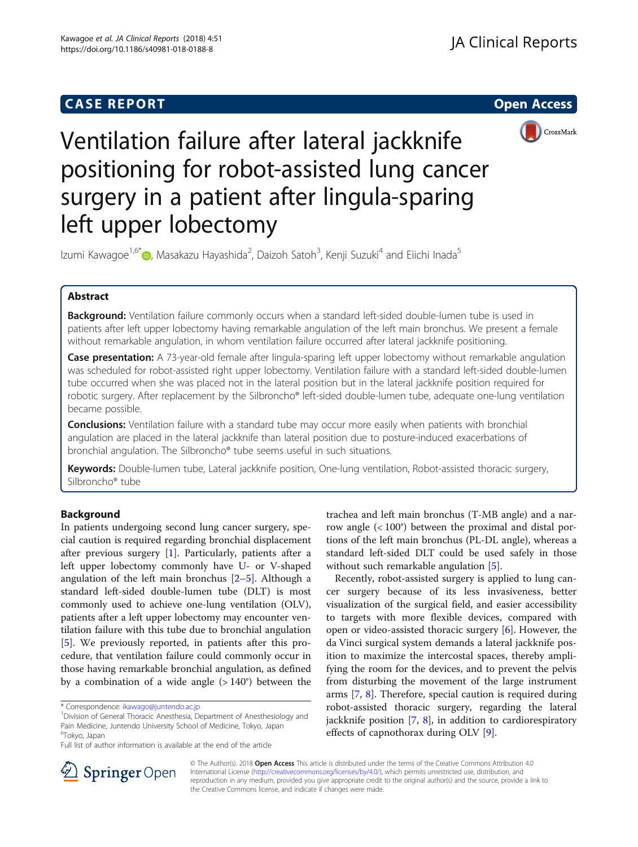## **CASE REPORT CASE REPORT CASE REPORT**



# Ventilation failure after lateral jackknife positioning for robot-assisted lung cancer surgery in a patient after lingula-sparing left upper lobectomy

Izumi Kawagoe<sup>1,6[\\*](http://orcid.org/0000-0002-5791-2700)</sup>©, Masakazu Hayashida<sup>2</sup>, Daizoh Satoh<sup>3</sup>, Kenji Suzuki<sup>4</sup> and Eiichi Inada<sup>5</sup>

## Abstract

Background: Ventilation failure commonly occurs when a standard left-sided double-lumen tube is used in patients after left upper lobectomy having remarkable angulation of the left main bronchus. We present a female without remarkable angulation, in whom ventilation failure occurred after lateral jackknife positioning.

Case presentation: A 73-year-old female after lingula-sparing left upper lobectomy without remarkable angulation was scheduled for robot-assisted right upper lobectomy. Ventilation failure with a standard left-sided double-lumen tube occurred when she was placed not in the lateral position but in the lateral jackknife position required for robotic surgery. After replacement by the Silbroncho® left-sided double-lumen tube, adequate one-lung ventilation became possible.

**Conclusions:** Ventilation failure with a standard tube may occur more easily when patients with bronchial angulation are placed in the lateral jackknife than lateral position due to posture-induced exacerbations of bronchial angulation. The Silbroncho® tube seems useful in such situations.

Keywords: Double-lumen tube, Lateral jackknife position, One-lung ventilation, Robot-assisted thoracic surgery, Silbroncho® tube

## Background

In patients undergoing second lung cancer surgery, special caution is required regarding bronchial displacement after previous surgery [\[1](#page-3-0)]. Particularly, patients after a left upper lobectomy commonly have U- or V-shaped angulation of the left main bronchus  $[2-5]$  $[2-5]$  $[2-5]$  $[2-5]$ . Although a standard left-sided double-lumen tube (DLT) is most commonly used to achieve one-lung ventilation (OLV), patients after a left upper lobectomy may encounter ventilation failure with this tube due to bronchial angulation [[5\]](#page-3-0). We previously reported, in patients after this procedure, that ventilation failure could commonly occur in those having remarkable bronchial angulation, as defined by a combination of a wide angle  $(>140^{\circ})$  between the

trachea and left main bronchus (T-MB angle) and a narrow angle (< 100°) between the proximal and distal portions of the left main bronchus (PL-DL angle), whereas a standard left-sided DLT could be used safely in those without such remarkable angulation [[5\]](#page-3-0).

Recently, robot-assisted surgery is applied to lung cancer surgery because of its less invasiveness, better visualization of the surgical field, and easier accessibility to targets with more flexible devices, compared with open or video-assisted thoracic surgery [[6](#page-3-0)]. However, the da Vinci surgical system demands a lateral jackknife position to maximize the intercostal spaces, thereby amplifying the room for the devices, and to prevent the pelvis from disturbing the movement of the large instrument arms [\[7](#page-3-0), [8](#page-3-0)]. Therefore, special caution is required during robot-assisted thoracic surgery, regarding the lateral jackknife position  $[7, 8]$  $[7, 8]$  $[7, 8]$ , in addition to cardiorespiratory effects of capnothorax during OLV [[9\]](#page-3-0).



© The Author(s). 2018 Open Access This article is distributed under the terms of the Creative Commons Attribution 4.0 International License ([http://creativecommons.org/licenses/by/4.0/\)](http://creativecommons.org/licenses/by/4.0/), which permits unrestricted use, distribution, and reproduction in any medium, provided you give appropriate credit to the original author(s) and the source, provide a link to the Creative Commons license, and indicate if changes were made.

<sup>\*</sup> Correspondence: [ikawago@juntendo.ac.jp](mailto:ikawago@juntendo.ac.jp) <sup>1</sup>

<sup>&</sup>lt;sup>1</sup> Division of General Thoracic Anesthesia, Department of Anesthesiology and Pain Medicine, Juntendo University School of Medicine, Tokyo, Japan <sup>6</sup>Tokyo, Japan

Full list of author information is available at the end of the article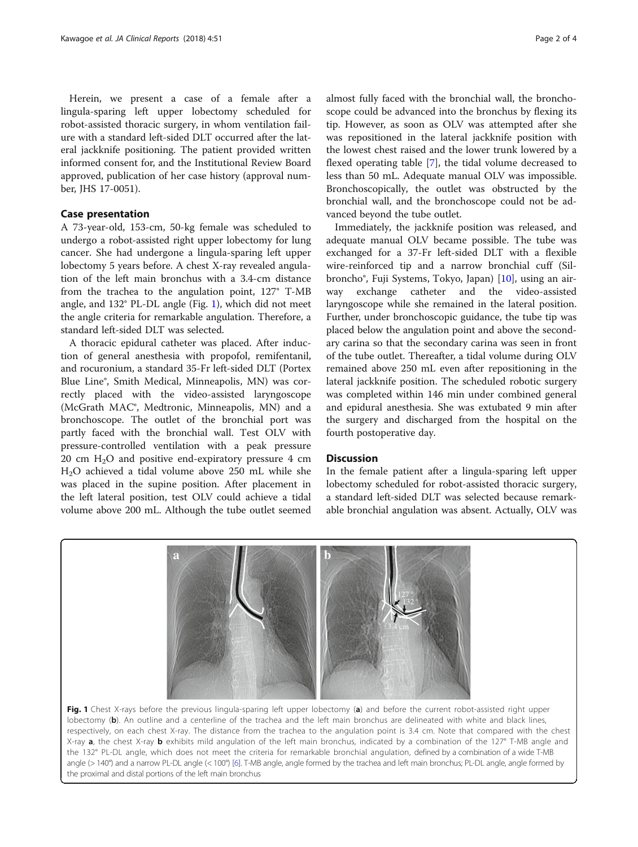Herein, we present a case of a female after a lingula-sparing left upper lobectomy scheduled for robot-assisted thoracic surgery, in whom ventilation failure with a standard left-sided DLT occurred after the lateral jackknife positioning. The patient provided written informed consent for, and the Institutional Review Board approved, publication of her case history (approval number, JHS 17-0051).

### Case presentation

A 73-year-old, 153-cm, 50-kg female was scheduled to undergo a robot-assisted right upper lobectomy for lung cancer. She had undergone a lingula-sparing left upper lobectomy 5 years before. A chest X-ray revealed angulation of the left main bronchus with a 3.4-cm distance from the trachea to the angulation point, 127° T-MB angle, and 132° PL-DL angle (Fig. 1), which did not meet the angle criteria for remarkable angulation. Therefore, a standard left-sided DLT was selected.

A thoracic epidural catheter was placed. After induction of general anesthesia with propofol, remifentanil, and rocuronium, a standard 35-Fr left-sided DLT (Portex Blue Line®, Smith Medical, Minneapolis, MN) was correctly placed with the video-assisted laryngoscope (McGrath MAC®, Medtronic, Minneapolis, MN) and a bronchoscope. The outlet of the bronchial port was partly faced with the bronchial wall. Test OLV with pressure-controlled ventilation with a peak pressure 20 cm  $H<sub>2</sub>O$  and positive end-expiratory pressure 4 cm H2O achieved a tidal volume above 250 mL while she was placed in the supine position. After placement in the left lateral position, test OLV could achieve a tidal volume above 200 mL. Although the tube outlet seemed

almost fully faced with the bronchial wall, the bronchoscope could be advanced into the bronchus by flexing its tip. However, as soon as OLV was attempted after she was repositioned in the lateral jackknife position with the lowest chest raised and the lower trunk lowered by a flexed operating table [\[7](#page-3-0)], the tidal volume decreased to less than 50 mL. Adequate manual OLV was impossible. Bronchoscopically, the outlet was obstructed by the bronchial wall, and the bronchoscope could not be advanced beyond the tube outlet.

Immediately, the jackknife position was released, and adequate manual OLV became possible. The tube was exchanged for a 37-Fr left-sided DLT with a flexible wire-reinforced tip and a narrow bronchial cuff (Silbroncho®, Fuji Systems, Tokyo, Japan) [[10\]](#page-3-0), using an airway exchange catheter and the video-assisted laryngoscope while she remained in the lateral position. Further, under bronchoscopic guidance, the tube tip was placed below the angulation point and above the secondary carina so that the secondary carina was seen in front of the tube outlet. Thereafter, a tidal volume during OLV remained above 250 mL even after repositioning in the lateral jackknife position. The scheduled robotic surgery was completed within 146 min under combined general and epidural anesthesia. She was extubated 9 min after the surgery and discharged from the hospital on the fourth postoperative day.

## **Discussion**

In the female patient after a lingula-sparing left upper lobectomy scheduled for robot-assisted thoracic surgery, a standard left-sided DLT was selected because remarkable bronchial angulation was absent. Actually, OLV was



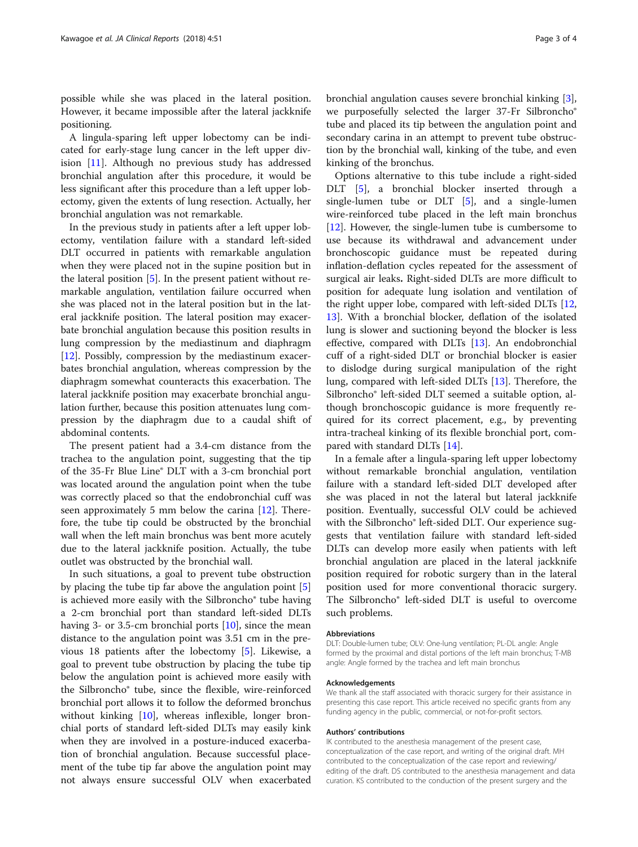possible while she was placed in the lateral position. However, it became impossible after the lateral jackknife positioning.

A lingula-sparing left upper lobectomy can be indicated for early-stage lung cancer in the left upper division [[11](#page-3-0)]. Although no previous study has addressed bronchial angulation after this procedure, it would be less significant after this procedure than a left upper lobectomy, given the extents of lung resection. Actually, her bronchial angulation was not remarkable.

In the previous study in patients after a left upper lobectomy, ventilation failure with a standard left-sided DLT occurred in patients with remarkable angulation when they were placed not in the supine position but in the lateral position [[5\]](#page-3-0). In the present patient without remarkable angulation, ventilation failure occurred when she was placed not in the lateral position but in the lateral jackknife position. The lateral position may exacerbate bronchial angulation because this position results in lung compression by the mediastinum and diaphragm [[12\]](#page-3-0). Possibly, compression by the mediastinum exacerbates bronchial angulation, whereas compression by the diaphragm somewhat counteracts this exacerbation. The lateral jackknife position may exacerbate bronchial angulation further, because this position attenuates lung compression by the diaphragm due to a caudal shift of abdominal contents.

The present patient had a 3.4-cm distance from the trachea to the angulation point, suggesting that the tip of the 35-Fr Blue Line® DLT with a 3-cm bronchial port was located around the angulation point when the tube was correctly placed so that the endobronchial cuff was seen approximately 5 mm below the carina [\[12\]](#page-3-0). Therefore, the tube tip could be obstructed by the bronchial wall when the left main bronchus was bent more acutely due to the lateral jackknife position. Actually, the tube outlet was obstructed by the bronchial wall.

In such situations, a goal to prevent tube obstruction by placing the tube tip far above the angulation point [\[5](#page-3-0)] is achieved more easily with the Silbroncho® tube having a 2-cm bronchial port than standard left-sided DLTs having 3- or 3.5-cm bronchial ports [\[10](#page-3-0)], since the mean distance to the angulation point was 3.51 cm in the previous 18 patients after the lobectomy [\[5](#page-3-0)]. Likewise, a goal to prevent tube obstruction by placing the tube tip below the angulation point is achieved more easily with the Silbroncho® tube, since the flexible, wire-reinforced bronchial port allows it to follow the deformed bronchus without kinking [[10](#page-3-0)], whereas inflexible, longer bronchial ports of standard left-sided DLTs may easily kink when they are involved in a posture-induced exacerbation of bronchial angulation. Because successful placement of the tube tip far above the angulation point may not always ensure successful OLV when exacerbated

bronchial angulation causes severe bronchial kinking [\[3](#page-3-0)], we purposefully selected the larger 37-Fr Silbroncho® tube and placed its tip between the angulation point and secondary carina in an attempt to prevent tube obstruction by the bronchial wall, kinking of the tube, and even kinking of the bronchus.

Options alternative to this tube include a right-sided DLT [[5\]](#page-3-0), a bronchial blocker inserted through a single-lumen tube or  $DLT$  [[5](#page-3-0)], and a single-lumen wire-reinforced tube placed in the left main bronchus [[12\]](#page-3-0). However, the single-lumen tube is cumbersome to use because its withdrawal and advancement under bronchoscopic guidance must be repeated during inflation-deflation cycles repeated for the assessment of surgical air leaks. Right-sided DLTs are more difficult to position for adequate lung isolation and ventilation of the right upper lobe, compared with left-sided DLTs [[12](#page-3-0), [13\]](#page-3-0). With a bronchial blocker, deflation of the isolated lung is slower and suctioning beyond the blocker is less effective, compared with DLTs [[13\]](#page-3-0). An endobronchial cuff of a right-sided DLT or bronchial blocker is easier to dislodge during surgical manipulation of the right lung, compared with left-sided DLTs [[13\]](#page-3-0). Therefore, the Silbroncho® left-sided DLT seemed a suitable option, although bronchoscopic guidance is more frequently required for its correct placement, e.g., by preventing intra-tracheal kinking of its flexible bronchial port, compared with standard DLTs [\[14\]](#page-3-0).

In a female after a lingula-sparing left upper lobectomy without remarkable bronchial angulation, ventilation failure with a standard left-sided DLT developed after she was placed in not the lateral but lateral jackknife position. Eventually, successful OLV could be achieved with the Silbroncho® left-sided DLT. Our experience suggests that ventilation failure with standard left-sided DLTs can develop more easily when patients with left bronchial angulation are placed in the lateral jackknife position required for robotic surgery than in the lateral position used for more conventional thoracic surgery. The Silbroncho® left-sided DLT is useful to overcome such problems.

#### Abbreviations

DLT: Double-lumen tube; OLV: One-lung ventilation; PL-DL angle: Angle formed by the proximal and distal portions of the left main bronchus; T-MB angle: Angle formed by the trachea and left main bronchus

#### Acknowledgements

We thank all the staff associated with thoracic surgery for their assistance in presenting this case report. This article received no specific grants from any funding agency in the public, commercial, or not-for-profit sectors.

#### Authors' contributions

IK contributed to the anesthesia management of the present case, conceptualization of the case report, and writing of the original draft. MH contributed to the conceptualization of the case report and reviewing/ editing of the draft. DS contributed to the anesthesia management and data curation. KS contributed to the conduction of the present surgery and the